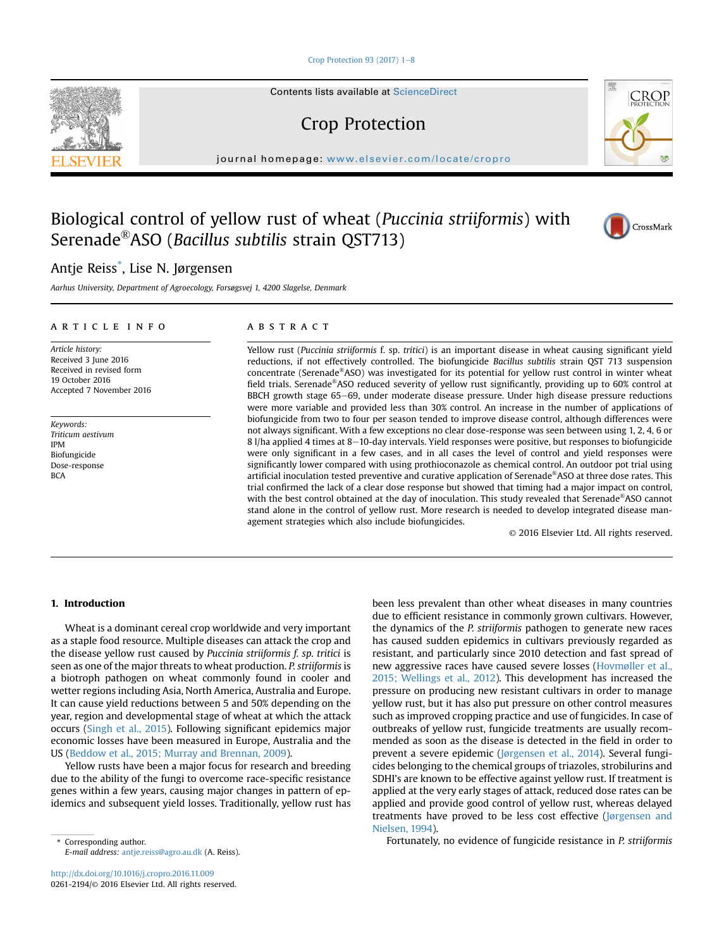#### Crop Protection 93 (2017)  $1-8$  $1-8$

Contents lists available at ScienceDirect

# Crop Protection

journal homepage: [www.elsevier.com/locate/cropro](http://www.elsevier.com/locate/cropro)

# Biological control of yellow rust of wheat (Puccinia striiformis) with Serenade®ASO (Bacillus subtilis strain QST713)

# Antje Reiss\* , Lise N. Jørgensen

Aarhus University, Department of Agroecology, Forsøgsvej 1, 4200 Slagelse, Denmark

#### article info

Article history: Received 3 June 2016 Received in revised form 19 October 2016 Accepted 7 November 2016

Keywords: Triticum aestivum IPM Biofungicide Dose-response **BCA** 

# **ABSTRACT**

Yellow rust (Puccinia striiformis f. sp. tritici) is an important disease in wheat causing significant yield reductions, if not effectively controlled. The biofungicide Bacillus subtilis strain QST 713 suspension concentrate (Serenade®ASO) was investigated for its potential for yellow rust control in winter wheat field trials. Serenade®ASO reduced severity of yellow rust significantly, providing up to 60% control at BBCH growth stage 65–69, under moderate disease pressure. Under high disease pressure reductions were more variable and provided less than 30% control. An increase in the number of applications of biofungicide from two to four per season tended to improve disease control, although differences were not always significant. With a few exceptions no clear dose-response was seen between using 1, 2, 4, 6 or 8 l/ha applied 4 times at 8-10-day intervals. Yield responses were positive, but responses to biofungicide were only significant in a few cases, and in all cases the level of control and yield responses were significantly lower compared with using prothioconazole as chemical control. An outdoor pot trial using artificial inoculation tested preventive and curative application of Serenade®ASO at three dose rates. This trial confirmed the lack of a clear dose response but showed that timing had a major impact on control, with the best control obtained at the day of inoculation. This study revealed that Serenade®ASO cannot stand alone in the control of yellow rust. More research is needed to develop integrated disease management strategies which also include biofungicides.

© 2016 Elsevier Ltd. All rights reserved.

#### 1. Introduction

Wheat is a dominant cereal crop worldwide and very important as a staple food resource. Multiple diseases can attack the crop and the disease yellow rust caused by Puccinia striiformis f. sp. tritici is seen as one of the major threats to wheat production. P. striiformis is a biotroph pathogen on wheat commonly found in cooler and wetter regions including Asia, North America, Australia and Europe. It can cause yield reductions between 5 and 50% depending on the year, region and developmental stage of wheat at which the attack occurs ([Singh et al., 2015\)](#page-7-0). Following significant epidemics major economic losses have been measured in Europe, Australia and the US [\(Beddow et al., 2015; Murray and Brennan, 2009\)](#page-6-0).

Yellow rusts have been a major focus for research and breeding due to the ability of the fungi to overcome race-specific resistance genes within a few years, causing major changes in pattern of epidemics and subsequent yield losses. Traditionally, yellow rust has

E-mail address: [antje.reiss@agro.au.dk](mailto:antje.reiss@agro.au.dk) (A. Reiss).

<http://dx.doi.org/10.1016/j.cropro.2016.11.009> 0261-2194/© 2016 Elsevier Ltd. All rights reserved. been less prevalent than other wheat diseases in many countries due to efficient resistance in commonly grown cultivars. However, the dynamics of the P. striiformis pathogen to generate new races has caused sudden epidemics in cultivars previously regarded as resistant, and particularly since 2010 detection and fast spread of new aggressive races have caused severe losses [\(Hovmøller et al.,](#page-6-0) [2015; Wellings et al., 2012\)](#page-6-0). This development has increased the pressure on producing new resistant cultivars in order to manage yellow rust, but it has also put pressure on other control measures such as improved cropping practice and use of fungicides. In case of outbreaks of yellow rust, fungicide treatments are usually recommended as soon as the disease is detected in the field in order to prevent a severe epidemic [\(Jørgensen et al., 2014](#page-6-0)). Several fungicides belonging to the chemical groups of triazoles, strobilurins and SDHI's are known to be effective against yellow rust. If treatment is applied at the very early stages of attack, reduced dose rates can be applied and provide good control of yellow rust, whereas delayed treatments have proved to be less cost effective ([J](#page-6-0)ø[rgensen and](#page-6-0) [Nielsen, 1994\)](#page-6-0).

\* Corresponding author. Fortunately, no evidence of fungicide resistance in P. striiformis





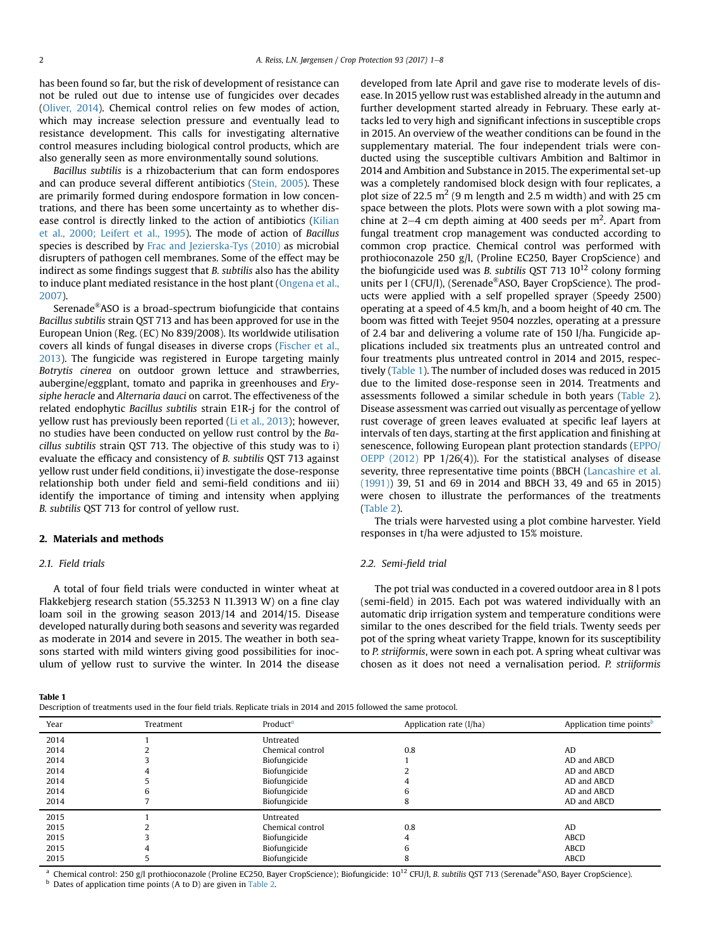has been found so far, but the risk of development of resistance can not be ruled out due to intense use of fungicides over decades ([Oliver, 2014](#page-7-0)). Chemical control relies on few modes of action, which may increase selection pressure and eventually lead to resistance development. This calls for investigating alternative control measures including biological control products, which are also generally seen as more environmentally sound solutions.

Bacillus subtilis is a rhizobacterium that can form endospores and can produce several different antibiotics ([Stein, 2005](#page-7-0)). These are primarily formed during endospore formation in low concentrations, and there has been some uncertainty as to whether disease control is directly linked to the action of antibiotics [\(Kilian](#page-6-0) [et al., 2000; Leifert et al., 1995](#page-6-0)). The mode of action of Bacillus species is described by [Frac and Jezierska-Tys \(2010\)](#page-6-0) as microbial disrupters of pathogen cell membranes. Some of the effect may be indirect as some findings suggest that B. subtilis also has the ability to induce plant mediated resistance in the host plant ([Ongena et al.,](#page-7-0) [2007\)](#page-7-0).

Serenade®ASO is a broad-spectrum biofungicide that contains Bacillus subtilis strain QST 713 and has been approved for use in the European Union (Reg. (EC) No 839/2008). Its worldwide utilisation covers all kinds of fungal diseases in diverse crops ([Fischer et al.,](#page-6-0) [2013](#page-6-0)). The fungicide was registered in Europe targeting mainly Botrytis cinerea on outdoor grown lettuce and strawberries, aubergine/eggplant, tomato and paprika in greenhouses and Erysiphe heracle and Alternaria dauci on carrot. The effectiveness of the related endophytic Bacillus subtilis strain E1R-j for the control of yellow rust has previously been reported [\(Li et al., 2013](#page-7-0)); however, no studies have been conducted on yellow rust control by the Bacillus subtilis strain QST 713. The objective of this study was to i) evaluate the efficacy and consistency of B. subtilis QST 713 against yellow rust under field conditions, ii) investigate the dose-response relationship both under field and semi-field conditions and iii) identify the importance of timing and intensity when applying B. subtilis QST 713 for control of yellow rust.

## 2. Materials and methods

## 2.1. Field trials

A total of four field trials were conducted in winter wheat at Flakkebjerg research station (55.3253 N 11.3913 W) on a fine clay loam soil in the growing season 2013/14 and 2014/15. Disease developed naturally during both seasons and severity was regarded as moderate in 2014 and severe in 2015. The weather in both seasons started with mild winters giving good possibilities for inoculum of yellow rust to survive the winter. In 2014 the disease developed from late April and gave rise to moderate levels of disease. In 2015 yellow rust was established already in the autumn and further development started already in February. These early attacks led to very high and significant infections in susceptible crops in 2015. An overview of the weather conditions can be found in the supplementary material. The four independent trials were conducted using the susceptible cultivars Ambition and Baltimor in 2014 and Ambition and Substance in 2015. The experimental set-up was a completely randomised block design with four replicates, a plot size of 22.5  $m^2$  (9 m length and 2.5 m width) and with 25 cm space between the plots. Plots were sown with a plot sowing machine at 2–4 cm depth aiming at 400 seeds per  $m<sup>2</sup>$ . Apart from fungal treatment crop management was conducted according to common crop practice. Chemical control was performed with prothioconazole 250 g/l, (Proline EC250, Bayer CropScience) and the biofungicide used was B. subtilis QST 713  $10^{12}$  colony forming units per 1 (CFU/l), (Serenade<sup>®</sup>ASO, Bayer CropScience). The products were applied with a self propelled sprayer (Speedy 2500) operating at a speed of 4.5 km/h, and a boom height of 40 cm. The boom was fitted with Teejet 9504 nozzles, operating at a pressure of 2.4 bar and delivering a volume rate of 150 l/ha. Fungicide applications included six treatments plus an untreated control and four treatments plus untreated control in 2014 and 2015, respectively (Table 1). The number of included doses was reduced in 2015 due to the limited dose-response seen in 2014. Treatments and assessments followed a similar schedule in both years ([Table 2\)](#page-2-0). Disease assessment was carried out visually as percentage of yellow rust coverage of green leaves evaluated at specific leaf layers at intervals of ten days, starting at the first application and finishing at senescence, following European plant protection standards [\(EPPO/](#page-6-0) [OEPP \(2012\)](#page-6-0) PP 1/26(4)). For the statistical analyses of disease severity, three representative time points (BBCH ([Lancashire et al.](#page-6-0) [\(1991\)](#page-6-0)) 39, 51 and 69 in 2014 and BBCH 33, 49 and 65 in 2015) were chosen to illustrate the performances of the treatments ([Table 2\)](#page-2-0).

The trials were harvested using a plot combine harvester. Yield responses in t/ha were adjusted to 15% moisture.

## 2.2. Semi-field trial

The pot trial was conducted in a covered outdoor area in 8 l pots (semi-field) in 2015. Each pot was watered individually with an automatic drip irrigation system and temperature conditions were similar to the ones described for the field trials. Twenty seeds per pot of the spring wheat variety Trappe, known for its susceptibility to P. striiformis, were sown in each pot. A spring wheat cultivar was chosen as it does not need a vernalisation period. P. striiformis

Table 1

Description of treatments used in the four field trials. Replicate trials in 2014 and 2015 followed the same protocol.

| Year | Treatment | Product <sup><math>a</math></sup> | Application rate (l/ha) | Application time points <sup>b</sup> |
|------|-----------|-----------------------------------|-------------------------|--------------------------------------|
| 2014 |           | Untreated                         |                         |                                      |
| 2014 |           | Chemical control                  | 0.8                     | AD                                   |
| 2014 |           | Biofungicide                      |                         | AD and ABCD                          |
| 2014 |           | Biofungicide                      |                         | AD and ABCD                          |
| 2014 |           | Biofungicide                      |                         | AD and ABCD                          |
| 2014 | h         | Biofungicide                      |                         | AD and ABCD                          |
| 2014 |           | Biofungicide                      |                         | AD and ABCD                          |
| 2015 |           | Untreated                         |                         |                                      |
| 2015 |           | Chemical control                  | 0.8                     | AD                                   |
| 2015 |           | Biofungicide                      | 4                       | ABCD                                 |
| 2015 |           | Biofungicide                      |                         | <b>ABCD</b>                          |
| 2015 |           | Biofungicide                      | õ                       | <b>ABCD</b>                          |
|      |           |                                   |                         |                                      |

Chemical control: 250 g/l prothioconazole (Proline EC250, Bayer CropScience); Biofungicide: 10<sup>12</sup> CFU/l, B. subtilis QST 713 (Serenade®ASO, Bayer CropScience). <sup>b</sup> Dates of application time points (A to D) are given in [Table 2.](#page-2-0)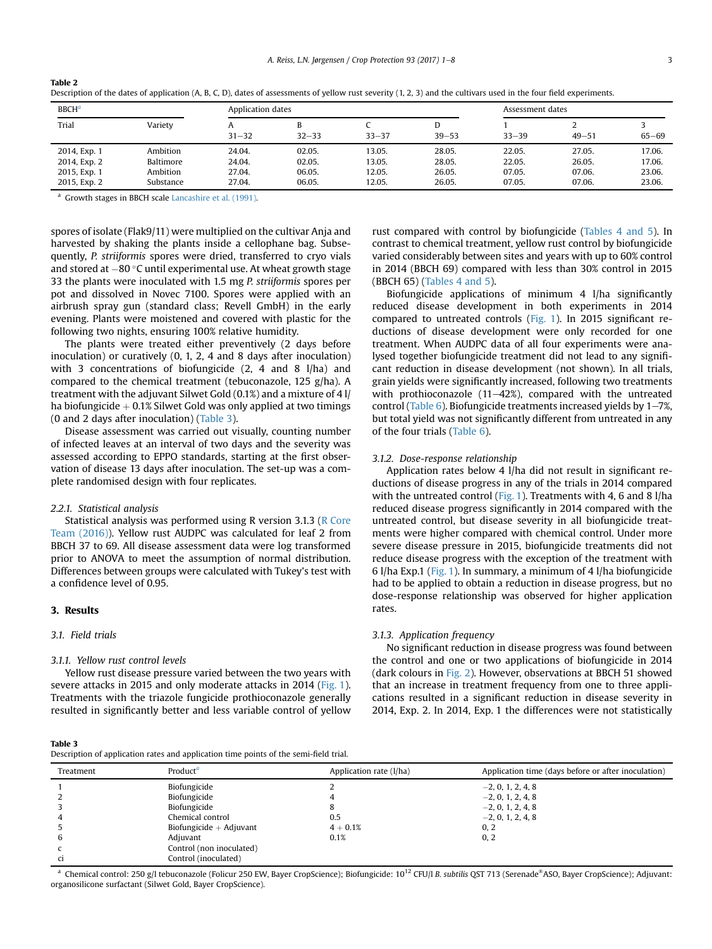| <b>BBCH<sup>a</sup></b> |           |           | Application dates |           |                |           | Assessment dates |           |  |
|-------------------------|-----------|-----------|-------------------|-----------|----------------|-----------|------------------|-----------|--|
| Trial                   | Variety   | $31 - 32$ | B<br>$32 - 33$    | $33 - 37$ | D<br>$39 - 53$ | $33 - 39$ | $49 - 51$        | $65 - 69$ |  |
| 2014, Exp. 1            | Ambition  | 24.04.    | 02.05.            | 13.05.    | 28.05.         | 22.05.    | 27.05.           | 17.06.    |  |
| 2014, Exp. 2            | Baltimore | 24.04.    | 02.05.            | 13.05.    | 28.05.         | 22.05.    | 26.05.           | 17.06.    |  |
| 2015, Exp. 1            | Ambition  | 27.04.    | 06.05.            | 12.05.    | 26.05.         | 07.05.    | 07.06.           | 23.06.    |  |
| 2015, Exp. 2            | Substance | 27.04.    | 06.05.            | 12.05.    | 26.05.         | 07.05.    | 07.06.           | 23.06.    |  |

Description of the dates of application (A, B, C, D), dates of assessments of yellow rust severity (1, 2, 3) and the cultivars used in the four field experiments.

Growth stages in BBCH scale [Lancashire et al. \(1991\)](#page-6-0).

spores of isolate (Flak9/11) were multiplied on the cultivar Anja and harvested by shaking the plants inside a cellophane bag. Subsequently, P. striiformis spores were dried, transferred to cryo vials and stored at  $-80$  °C until experimental use. At wheat growth stage 33 the plants were inoculated with 1.5 mg P. striiformis spores per pot and dissolved in Novec 7100. Spores were applied with an airbrush spray gun (standard class; Revell GmbH) in the early evening. Plants were moistened and covered with plastic for the following two nights, ensuring 100% relative humidity.

The plants were treated either preventively (2 days before inoculation) or curatively (0, 1, 2, 4 and 8 days after inoculation) with 3 concentrations of biofungicide (2, 4 and 8 l/ha) and compared to the chemical treatment (tebuconazole, 125 g/ha). A treatment with the adjuvant Silwet Gold (0.1%) and a mixture of 4 l/ ha biofungicide  $+$  0.1% Silwet Gold was only applied at two timings (0 and 2 days after inoculation) (Table 3).

Disease assessment was carried out visually, counting number of infected leaves at an interval of two days and the severity was assessed according to EPPO standards, starting at the first observation of disease 13 days after inoculation. The set-up was a complete randomised design with four replicates.

#### 2.2.1. Statistical analysis

Statistical analysis was performed using R version 3.1.3 ([R Core](#page-7-0) [Team \(2016\)](#page-7-0)). Yellow rust AUDPC was calculated for leaf 2 from BBCH 37 to 69. All disease assessment data were log transformed prior to ANOVA to meet the assumption of normal distribution. Differences between groups were calculated with Tukey's test with a confidence level of 0.95.

# 3. Results

<span id="page-2-0"></span>Table 2

#### 3.1. Field trials

#### 3.1.1. Yellow rust control levels

Yellow rust disease pressure varied between the two years with severe attacks in 2015 and only moderate attacks in 2014 ([Fig. 1\)](#page-3-0). Treatments with the triazole fungicide prothioconazole generally resulted in significantly better and less variable control of yellow

Table 3 Description of application rates and application time points of the semi-field trial.

rust compared with control by biofungicide ([Tables 4 and 5\)](#page-3-0). In contrast to chemical treatment, yellow rust control by biofungicide varied considerably between sites and years with up to 60% control in 2014 (BBCH 69) compared with less than 30% control in 2015 (BBCH 65) ([Tables 4 and 5](#page-3-0)).

Biofungicide applications of minimum 4 l/ha significantly reduced disease development in both experiments in 2014 compared to untreated controls ([Fig. 1](#page-3-0)). In 2015 significant reductions of disease development were only recorded for one treatment. When AUDPC data of all four experiments were analysed together biofungicide treatment did not lead to any significant reduction in disease development (not shown). In all trials, grain yields were significantly increased, following two treatments with prothioconazole  $(11–42%)$ , compared with the untreated control [\(Table 6\)](#page-4-0). Biofungicide treatments increased yields by  $1-7\%$ , but total yield was not significantly different from untreated in any of the four trials ([Table 6\)](#page-4-0).

#### 3.1.2. Dose-response relationship

Application rates below 4 l/ha did not result in significant reductions of disease progress in any of the trials in 2014 compared with the untreated control [\(Fig. 1\)](#page-3-0). Treatments with 4, 6 and 8 l/ha reduced disease progress significantly in 2014 compared with the untreated control, but disease severity in all biofungicide treatments were higher compared with chemical control. Under more severe disease pressure in 2015, biofungicide treatments did not reduce disease progress with the exception of the treatment with 6 l/ha Exp.1 ([Fig. 1\)](#page-3-0). In summary, a minimum of 4 l/ha biofungicide had to be applied to obtain a reduction in disease progress, but no dose-response relationship was observed for higher application rates.

#### 3.1.3. Application frequency

No significant reduction in disease progress was found between the control and one or two applications of biofungicide in 2014 (dark colours in [Fig. 2\)](#page-4-0). However, observations at BBCH 51 showed that an increase in treatment frequency from one to three applications resulted in a significant reduction in disease severity in 2014, Exp. 2. In 2014, Exp. 1 the differences were not statistically

| Treatment | Product <sup>a</sup>      | Application rate (1/ha) | Application time (days before or after inoculation) |
|-----------|---------------------------|-------------------------|-----------------------------------------------------|
|           | Biofungicide              |                         | $-2, 0, 1, 2, 4, 8$                                 |
|           | Biofungicide              |                         | $-2, 0, 1, 2, 4, 8$                                 |
|           | Biofungicide              |                         | $-2, 0, 1, 2, 4, 8$                                 |
|           | Chemical control          | 0.5                     | $-2, 0, 1, 2, 4, 8$                                 |
|           | Biofungicide $+$ Adjuvant | $4 + 0.1%$              | 0, 2                                                |
| 6         | Adjuvant                  | 0.1%                    | 0, 2                                                |
|           | Control (non inoculated)  |                         |                                                     |
| ci        | Control (inoculated)      |                         |                                                     |

Chemical control: 250 g/l tebuconazole (Folicur 250 EW, Bayer CropScience); Biofungicide: 10<sup>12</sup> CFU/l B. subtilis QST 713 (Serenade®ASO, Bayer CropScience); Adjuvant: organosilicone surfactant (Silwet Gold, Bayer CropScience).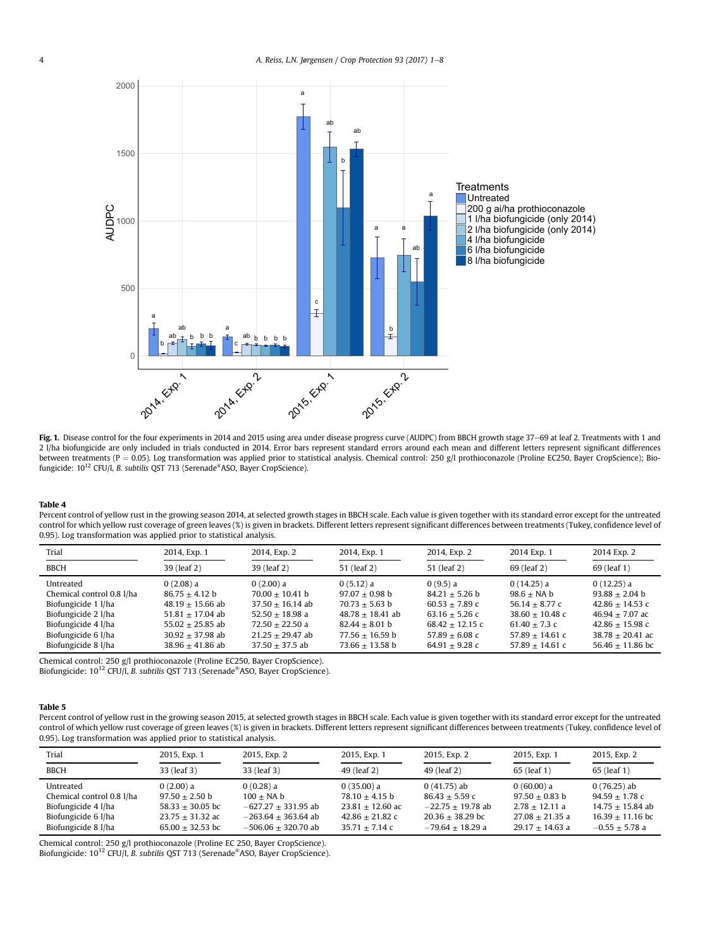<span id="page-3-0"></span>

Fig. 1. Disease control for the four experiments in 2014 and 2015 using area under disease progress curve (AUDPC) from BBCH growth stage 37-69 at leaf 2. Treatments with 1 and 2 l/ha biofungicide are only included in trials conducted in 2014. Error bars represent standard errors around each mean and different letters represent significant differences between treatments (P = 0.05). Log transformation was applied prior to statistical analysis. Chemical control: 250 g/l prothioconazole (Proline EC250, Bayer CropScience); Biofungicide: 10<sup>12</sup> CFU/l, B. subtilis QST 713 (Serenade<sup>®</sup>ASO, Bayer CropScience).

#### Table 4

Percent control of yellow rust in the growing season 2014, at selected growth stages in BBCH scale. Each value is given together with its standard error except for the untreated control for which yellow rust coverage of green leaves (%) is given in brackets. Different letters represent significant differences between treatments (Tukey, confidence level of 0.95). Log transformation was applied prior to statistical analysis.

| Trial                     | 2014, Exp. 1       | 2014, Exp. 2       | 2014, Exp. 1       | 2014, Exp. 2      | 2014 Exp. 1       | 2014 Exp. 2        |
|---------------------------|--------------------|--------------------|--------------------|-------------------|-------------------|--------------------|
| <b>BBCH</b>               | 39 (leaf 2)        | 39 (leaf 2)        | 51 (leaf 2)        | 51 (leaf 2)       | 69 (leaf 2)       | 69 (leaf 1)        |
| Untreated                 | $0(2.08)$ a        | $0(2.00)$ a        | 0(5.12) a          | 0(9.5) a          | $0(14.25)$ a      | $0(12.25)$ a       |
| Chemical control 0.8 l/ha | $86.75 + 4.12$ b   | $70.00 + 10.41$ b  | $97.07 + 0.98$ b   | $84.21 + 5.26$ b  | $98.6 + NA b$     | $93.88 + 2.04$ b   |
| Biofungicide 1 l/ha       | $48.19 + 15.66$ ab | $37.50 + 16.14$ ab | $70.73 + 5.63$ b   | $60.53 + 7.89$ c  | $56.14 + 8.77$ c  | $42.86 + 14.53$ c  |
| Biofungicide 2 l/ha       | $51.81 + 17.04$ ab | $52.50 + 18.98$ a  | $48.78 + 18.41$ ab | $63.16 + 5.26$ c  | $38.60 + 10.48$ c | $46.94 + 7.07$ ac  |
| Biofungicide 4 l/ha       | $55.02 + 25.85$ ab | $72.50 + 22.50$ a  | $82.44 + 8.01$ b   | $68.42 + 12.15$ c | $61.40 + 7.3$ c   | $42.86 + 15.98$ c  |
| Biofungicide 6 l/ha       | $30.92 + 37.98$ ab | $21.25 + 29.47$ ab | $77.56 + 16.59$ b  | $57.89 + 6.08$ c  | $57.89 + 14.61$ c | $38.78 + 20.41$ ac |
| Biofungicide 8 l/ha       | $38.96 + 41.86$ ab | $37.50 + 37.5$ ab  | $73.66 + 13.58$ b  | $64.91 + 9.28$ c  | $57.89 + 14.61$ c | $56.46 + 11.86$ bc |

Chemical control: 250 g/l prothioconazole (Proline EC250, Bayer CropScience).

Biofungicide: 10<sup>12</sup> CFU/l, B. subtilis QST 713 (Serenade<sup>®</sup>ASO, Bayer CropScience).

#### Table 5

Percent control of yellow rust in the growing season 2015, at selected growth stages in BBCH scale. Each value is given together with its standard error except for the untreated control of which yellow rust coverage of green leaves (%) is given in brackets. Different letters represent significant differences between treatments (Tukey, confidence level of 0.95). Log transformation was applied prior to statistical analysis.

| Trial                                                                                                       | 2015, Exp. 1                                                                                    | 2015, Exp. 2                                                                                         | 2015, Exp. 1                                                                                | 2015, Exp. 2                                                                                        | 2015, Exp. 1                                                                                 | 2015, Exp. 2                                                                                      |
|-------------------------------------------------------------------------------------------------------------|-------------------------------------------------------------------------------------------------|------------------------------------------------------------------------------------------------------|---------------------------------------------------------------------------------------------|-----------------------------------------------------------------------------------------------------|----------------------------------------------------------------------------------------------|---------------------------------------------------------------------------------------------------|
| <b>BBCH</b>                                                                                                 | 33 (leaf 3)                                                                                     | 33 (leaf 3)                                                                                          | 49 (leaf 2)                                                                                 | 49 (leaf 2)                                                                                         | 65 (leaf 1)                                                                                  | 65 (leaf 1)                                                                                       |
| Untreated<br>Chemical control 0.8 l/ha<br>Biofungicide 4 l/ha<br>Biofungicide 6 l/ha<br>Biofungicide 8 l/ha | 0(2.00) a<br>$97.50 + 2.50$ b<br>$58.33 + 30.05$ bc<br>$23.75 + 31.32$ ac<br>$65.00 + 32.53$ bc | 0(0.28) a<br>$100 + NA b$<br>$-627.27 + 331.95$ ab<br>$-263.64 + 363.64$ ab<br>$-506.06 + 320.70$ ab | 0(35.00) a<br>$78.10 + 4.15$ b<br>$23.81 + 12.60$ ac<br>$42.86 + 21.82c$<br>$35.71 + 7.14c$ | $0(41.75)$ ab<br>$86.43 + 5.59c$<br>$-22.75 + 19.78$ ab<br>$20.36 + 38.29$ bc<br>$-79.64 + 18.29$ a | 0(60.00) a<br>$97.50 + 0.83$ b<br>$2.78 + 12.11$ a<br>$27.08 + 21.35$ a<br>$29.17 + 14.63$ a | $0(76.25)$ ab<br>$94.59 + 1.78$ c<br>$14.75 + 15.84$ ab<br>$16.39 + 11.16$ bc<br>$-0.55 + 5.78$ a |

Chemical control: 250 g/l prothioconazole (Proline EC 250, Bayer CropScience).<br>Biofungicide: 10<sup>12</sup> CFU/l, *B. subtilis* QST 713 (Serenade®ASO, Bayer CropScience).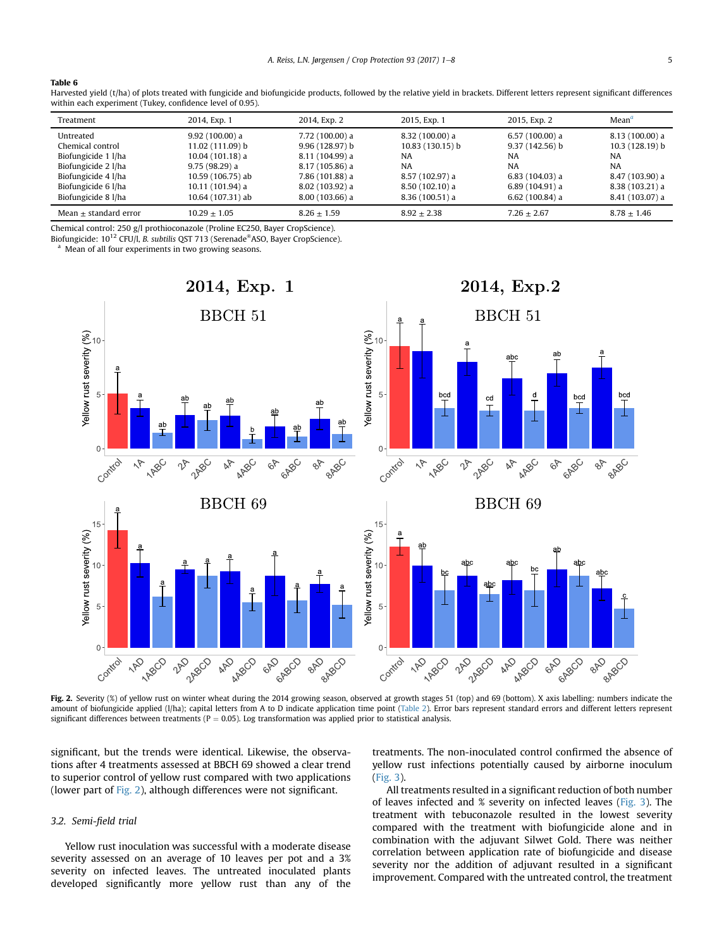#### <span id="page-4-0"></span>Table 6

| Harvested yield (t/ha) of plots treated with fungicide and biofungicide products, followed by the relative yield in brackets. Different letters represent significant differences |  |
|-----------------------------------------------------------------------------------------------------------------------------------------------------------------------------------|--|
| within each experiment (Tukey, confidence level of 0.95).                                                                                                                         |  |

| Treatment                 | 2014, Exp. 1      | 2014, Exp. 2     | 2015, Exp. 1     | 2015, Exp. 2     | Mean <sup>a</sup> |
|---------------------------|-------------------|------------------|------------------|------------------|-------------------|
| Untreated                 | $9.92(100.00)$ a  | 7.72 (100.00) a  | $8.32(100.00)$ a | $6.57(100.00)$ a | $8.13(100.00)$ a  |
| Chemical control          | 11.02 (111.09) b  | 9.96(128.97) b   | 10.83 (130.15) b | $9.37(142.56)$ b | 10.3 (128.19) b   |
| Biofungicide 1 l/ha       | $10.04(101.18)$ a | 8.11 (104.99) a  | <b>NA</b>        | <b>NA</b>        | NA                |
| Biofungicide 2 l/ha       | $9.75(98.29)$ a   | $8.17(105.86)$ a | NA.              | <b>NA</b>        | NA                |
| Biofungicide 4 l/ha       | 10.59 (106.75) ab | 7.86 (101.88) a  | 8.57 (102.97) a  | $6.83(104.03)$ a | 8.47 (103.90) a   |
| Biofungicide 6 l/ha       | 10.11 (101.94) a  | 8.02(103.92)a    | $8.50(102.10)$ a | 6.89(104.91)a    | 8.38 (103.21) a   |
| Biofungicide 8 l/ha       | 10.64 (107.31) ab | $8.00(103.66)$ a | $8.36(100.51)$ a | $6.62(100.84)$ a | 8.41 (103.07) a   |
| Mean $\pm$ standard error | $10.29 + 1.05$    | $8.26 + 1.59$    | $8.92 + 2.38$    | $7.26 + 2.67$    | $8.78 + 1.46$     |

Chemical control: 250 g/l prothioconazole (Proline EC250, Bayer CropScience).

Biofungicide: 10<sup>12</sup> CFU/l, B. subtilis QST 713 (Serenade®ASO, Bayer CropScience).

Mean of all four experiments in two growing seasons.



Fig. 2. Severity (%) of yellow rust on winter wheat during the 2014 growing season, observed at growth stages 51 (top) and 69 (bottom). X axis labelling: numbers indicate the amount of biofungicide applied (I/ha); capital letters from A to D indicate application time point ([Table 2\)](#page-2-0). Error bars represent standard errors and different letters represent significant differences between treatments ( $P = 0.05$ ). Log transformation was applied prior to statistical analysis.

significant, but the trends were identical. Likewise, the observations after 4 treatments assessed at BBCH 69 showed a clear trend to superior control of yellow rust compared with two applications (lower part of Fig. 2), although differences were not significant.

#### 3.2. Semi-field trial

Yellow rust inoculation was successful with a moderate disease severity assessed on an average of 10 leaves per pot and a 3% severity on infected leaves. The untreated inoculated plants developed significantly more yellow rust than any of the treatments. The non-inoculated control confirmed the absence of yellow rust infections potentially caused by airborne inoculum ([Fig. 3\)](#page-5-0).

All treatments resulted in a significant reduction of both number of leaves infected and % severity on infected leaves [\(Fig. 3](#page-5-0)). The treatment with tebuconazole resulted in the lowest severity compared with the treatment with biofungicide alone and in combination with the adjuvant Silwet Gold. There was neither correlation between application rate of biofungicide and disease severity nor the addition of adjuvant resulted in a significant improvement. Compared with the untreated control, the treatment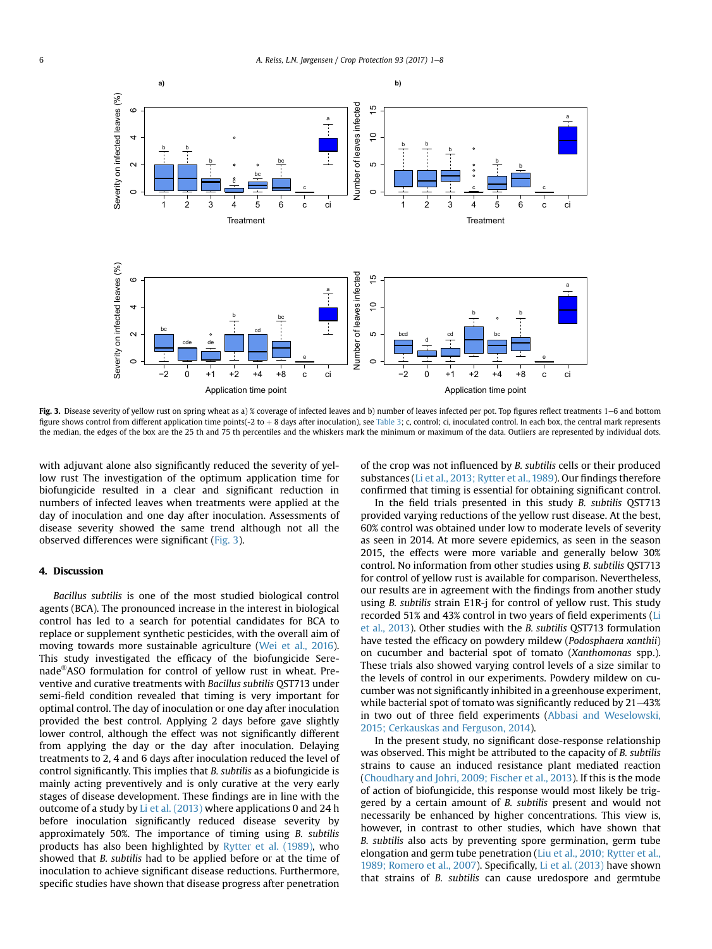<span id="page-5-0"></span>

Fig. 3. Disease severity of yellow rust on spring wheat as a) % coverage of infected leaves and b) number of leaves infected per pot. Top figures reflect treatments 1-6 and bottom figure shows control from different application time points(-2 to + 8 days after inoculation), see [Table 3;](#page-2-0) c, control; ci, inoculated control. In each box, the central mark represents the median, the edges of the box are the 25 th and 75 th percentiles and the whiskers mark the minimum or maximum of the data. Outliers are represented by individual dots.

with adjuvant alone also significantly reduced the severity of yellow rust The investigation of the optimum application time for biofungicide resulted in a clear and significant reduction in numbers of infected leaves when treatments were applied at the day of inoculation and one day after inoculation. Assessments of disease severity showed the same trend although not all the observed differences were significant (Fig. 3).

# 4. Discussion

Bacillus subtilis is one of the most studied biological control agents (BCA). The pronounced increase in the interest in biological control has led to a search for potential candidates for BCA to replace or supplement synthetic pesticides, with the overall aim of moving towards more sustainable agriculture ([Wei et al., 2016\)](#page-7-0). This study investigated the efficacy of the biofungicide Serenade®ASO formulation for control of yellow rust in wheat. Preventive and curative treatments with Bacillus subtilis QST713 under semi-field condition revealed that timing is very important for optimal control. The day of inoculation or one day after inoculation provided the best control. Applying 2 days before gave slightly lower control, although the effect was not significantly different from applying the day or the day after inoculation. Delaying treatments to 2, 4 and 6 days after inoculation reduced the level of control significantly. This implies that B. subtilis as a biofungicide is mainly acting preventively and is only curative at the very early stages of disease development. These findings are in line with the outcome of a study by [Li et al. \(2013\)](#page-7-0) where applications 0 and 24 h before inoculation significantly reduced disease severity by approximately 50%. The importance of timing using B. subtilis products has also been highlighted by [Rytter et al. \(1989\),](#page-7-0) who showed that B. subtilis had to be applied before or at the time of inoculation to achieve significant disease reductions. Furthermore, specific studies have shown that disease progress after penetration of the crop was not influenced by B. subtilis cells or their produced substances [\(Li et al., 2013; Rytter et al., 1989](#page-7-0)). Our findings therefore confirmed that timing is essential for obtaining significant control.

In the field trials presented in this study B. subtilis QST713 provided varying reductions of the yellow rust disease. At the best, 60% control was obtained under low to moderate levels of severity as seen in 2014. At more severe epidemics, as seen in the season 2015, the effects were more variable and generally below 30% control. No information from other studies using B. subtilis QST713 for control of yellow rust is available for comparison. Nevertheless, our results are in agreement with the findings from another study using B. subtilis strain E1R-j for control of yellow rust. This study recorded 51% and 43% control in two years of field experiments [\(Li](#page-7-0) [et al., 2013](#page-7-0)). Other studies with the B. subtilis QST713 formulation have tested the efficacy on powdery mildew (Podosphaera xanthii) on cucumber and bacterial spot of tomato (Xanthomonas spp.). These trials also showed varying control levels of a size similar to the levels of control in our experiments. Powdery mildew on cucumber was not significantly inhibited in a greenhouse experiment, while bacterial spot of tomato was significantly reduced by  $21-43%$ in two out of three field experiments ([Abbasi and Weselowski,](#page-6-0) [2015; Cerkauskas and Ferguson, 2014\)](#page-6-0).

In the present study, no significant dose-response relationship was observed. This might be attributed to the capacity of B. subtilis strains to cause an induced resistance plant mediated reaction ([Choudhary and Johri, 2009; Fischer et al., 2013\)](#page-6-0). If this is the mode of action of biofungicide, this response would most likely be triggered by a certain amount of B. subtilis present and would not necessarily be enhanced by higher concentrations. This view is, however, in contrast to other studies, which have shown that B. subtilis also acts by preventing spore germination, germ tube elongation and germ tube penetration ([Liu et al., 2010; Rytter et al.,](#page-7-0) [1989; Romero et al., 2007\)](#page-7-0). Specifically, [Li et al. \(2013\)](#page-7-0) have shown that strains of B. subtilis can cause uredospore and germtube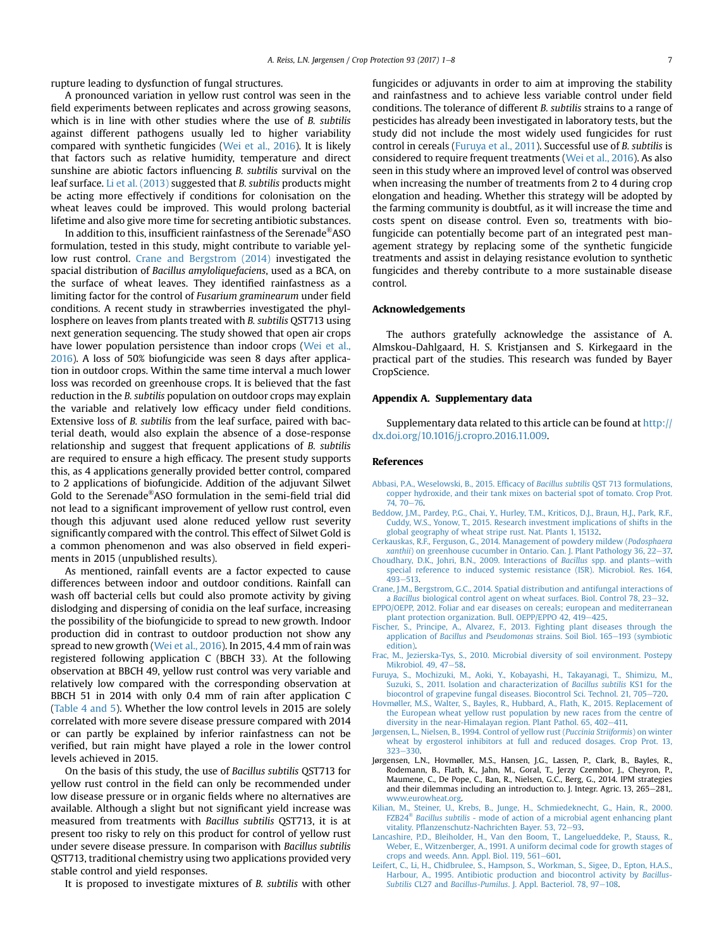<span id="page-6-0"></span>rupture leading to dysfunction of fungal structures.

A pronounced variation in yellow rust control was seen in the field experiments between replicates and across growing seasons, which is in line with other studies where the use of B. subtilis against different pathogens usually led to higher variability compared with synthetic fungicides ([Wei et al., 2016](#page-7-0)). It is likely that factors such as relative humidity, temperature and direct sunshine are abiotic factors influencing B. subtilis survival on the leaf surface. [Li et al. \(2013\)](#page-7-0) suggested that B. subtilis products might be acting more effectively if conditions for colonisation on the wheat leaves could be improved. This would prolong bacterial lifetime and also give more time for secreting antibiotic substances.

In addition to this, insufficient rainfastness of the Serenade®ASO formulation, tested in this study, might contribute to variable yellow rust control. Crane and Bergstrom (2014) investigated the spacial distribution of Bacillus amyloliquefaciens, used as a BCA, on the surface of wheat leaves. They identified rainfastness as a limiting factor for the control of Fusarium graminearum under field conditions. A recent study in strawberries investigated the phyllosphere on leaves from plants treated with B. subtilis QST713 using next generation sequencing. The study showed that open air crops have lower population persistence than indoor crops [\(Wei et al.,](#page-7-0) [2016\)](#page-7-0). A loss of 50% biofungicide was seen 8 days after application in outdoor crops. Within the same time interval a much lower loss was recorded on greenhouse crops. It is believed that the fast reduction in the B. subtilis population on outdoor crops may explain the variable and relatively low efficacy under field conditions. Extensive loss of B. subtilis from the leaf surface, paired with bacterial death, would also explain the absence of a dose-response relationship and suggest that frequent applications of B. subtilis are required to ensure a high efficacy. The present study supports this, as 4 applications generally provided better control, compared to 2 applications of biofungicide. Addition of the adjuvant Silwet Gold to the Serenade®ASO formulation in the semi-field trial did not lead to a significant improvement of yellow rust control, even though this adjuvant used alone reduced yellow rust severity significantly compared with the control. This effect of Silwet Gold is a common phenomenon and was also observed in field experiments in 2015 (unpublished results).

As mentioned, rainfall events are a factor expected to cause differences between indoor and outdoor conditions. Rainfall can wash off bacterial cells but could also promote activity by giving dislodging and dispersing of conidia on the leaf surface, increasing the possibility of the biofungicide to spread to new growth. Indoor production did in contrast to outdoor production not show any spread to new growth [\(Wei et al., 2016](#page-7-0)). In 2015, 4.4 mm of rain was registered following application C (BBCH 33). At the following observation at BBCH 49, yellow rust control was very variable and relatively low compared with the corresponding observation at BBCH 51 in 2014 with only 0.4 mm of rain after application C ([Table 4 and 5](#page-3-0)). Whether the low control levels in 2015 are solely correlated with more severe disease pressure compared with 2014 or can partly be explained by inferior rainfastness can not be verified, but rain might have played a role in the lower control levels achieved in 2015.

On the basis of this study, the use of Bacillus subtilis QST713 for yellow rust control in the field can only be recommended under low disease pressure or in organic fields where no alternatives are available. Although a slight but not significant yield increase was measured from treatments with Bacillus subtilis QST713, it is at present too risky to rely on this product for control of yellow rust under severe disease pressure. In comparison with Bacillus subtilis QST713, traditional chemistry using two applications provided very stable control and yield responses.

It is proposed to investigate mixtures of B. subtilis with other

fungicides or adjuvants in order to aim at improving the stability and rainfastness and to achieve less variable control under field conditions. The tolerance of different B. subtilis strains to a range of pesticides has already been investigated in laboratory tests, but the study did not include the most widely used fungicides for rust control in cereals (Furuya et al., 2011). Successful use of B. subtilis is considered to require frequent treatments [\(Wei et al., 2016\)](#page-7-0). As also seen in this study where an improved level of control was observed when increasing the number of treatments from 2 to 4 during crop elongation and heading. Whether this strategy will be adopted by the farming community is doubtful, as it will increase the time and costs spent on disease control. Even so, treatments with biofungicide can potentially become part of an integrated pest management strategy by replacing some of the synthetic fungicide treatments and assist in delaying resistance evolution to synthetic fungicides and thereby contribute to a more sustainable disease control.

#### Acknowledgements

The authors gratefully acknowledge the assistance of A. Almskou-Dahlgaard, H. S. Kristjansen and S. Kirkegaard in the practical part of the studies. This research was funded by Bayer CropScience.

#### Appendix A. Supplementary data

Supplementary data related to this article can be found at [http://](http://dx.doi.org/10.1016/j.cropro.2016.11.009) [dx.doi.org/10.1016/j.cropro.2016.11.009.](http://dx.doi.org/10.1016/j.cropro.2016.11.009)

#### References

- [Abbasi, P.A., Weselowski, B., 2015. Ef](http://refhub.elsevier.com/S0261-2194(16)30322-2/sref1)ficacy of Bacillus subtilis QST 713 formulations, [copper hydroxide, and their tank mixes on bacterial spot of tomato. Crop Prot.](http://refhub.elsevier.com/S0261-2194(16)30322-2/sref1)  $74.70 - 76$  $74.70 - 76$
- [Beddow, J.M., Pardey, P.G., Chai, Y., Hurley, T.M., Kriticos, D.J., Braun, H.J., Park, R.F.,](http://refhub.elsevier.com/S0261-2194(16)30322-2/sref2) [Cuddy, W.S., Yonow, T., 2015. Research investment implications of shifts in the](http://refhub.elsevier.com/S0261-2194(16)30322-2/sref2) [global geography of wheat stripe rust. Nat. Plants 1, 15132](http://refhub.elsevier.com/S0261-2194(16)30322-2/sref2).
- [Cerkauskas, R.F., Ferguson, G., 2014. Management of powdery mildew \(](http://refhub.elsevier.com/S0261-2194(16)30322-2/sref3)Podosphaera  $x$ anthii) on greenhouse cucumber in Ontario. Can. I. Plant Pathology 36, 22–[37.](http://refhub.elsevier.com/S0261-2194(16)30322-2/sref3)
- [Choudhary, D.K., Johri, B.N., 2009. Interactions of](http://refhub.elsevier.com/S0261-2194(16)30322-2/sref4) Bacillus spp. and plants-[with](http://refhub.elsevier.com/S0261-2194(16)30322-2/sref4) [special reference to induced systemic resistance \(ISR\). Microbiol. Res. 164,](http://refhub.elsevier.com/S0261-2194(16)30322-2/sref4) [493](http://refhub.elsevier.com/S0261-2194(16)30322-2/sref4)-[513](http://refhub.elsevier.com/S0261-2194(16)30322-2/sref4).
- [Crane, J.M., Bergstrom, G.C., 2014. Spatial distribution and antifungal interactions of](http://refhub.elsevier.com/S0261-2194(16)30322-2/sref5) a Bacillus biological control agent on wheat surfaces. Biol. Control  $78$ ,  $23-32$ .
- [EPPO/OEPP, 2012. Foliar and ear diseases on cereals; european and mediterranean](http://refhub.elsevier.com/S0261-2194(16)30322-2/sref6) [plant protection organization. Bull. OEPP/EPPO 42, 419](http://refhub.elsevier.com/S0261-2194(16)30322-2/sref6)-[425.](http://refhub.elsevier.com/S0261-2194(16)30322-2/sref6)
- [Fischer, S., Principe, A., Alvarez, F., 2013. Fighting plant diseases through the](http://refhub.elsevier.com/S0261-2194(16)30322-2/sref7) application of Bacillus and Pseudomonas [strains. Soil Biol. 165](http://refhub.elsevier.com/S0261-2194(16)30322-2/sref7)–[193 \(symbiotic](http://refhub.elsevier.com/S0261-2194(16)30322-2/sref7) [edition\)](http://refhub.elsevier.com/S0261-2194(16)30322-2/sref7).
- [Frac, M., Jezierska-Tys, S., 2010. Microbial diversity of soil environment. Postepy](http://refhub.elsevier.com/S0261-2194(16)30322-2/sref8) Mikrobiol.  $49.47-58.$  $49.47-58.$
- [Furuya, S., Mochizuki, M., Aoki, Y., Kobayashi, H., Takayanagi, T., Shimizu, M.,](http://refhub.elsevier.com/S0261-2194(16)30322-2/sref9) [Suzuki, S., 2011. Isolation and characterization of](http://refhub.elsevier.com/S0261-2194(16)30322-2/sref9) Bacillus subtilis KS1 for the [biocontrol of grapevine fungal diseases. Biocontrol Sci. Technol. 21, 705](http://refhub.elsevier.com/S0261-2194(16)30322-2/sref9)–[720](http://refhub.elsevier.com/S0261-2194(16)30322-2/sref9).
- [Hovmøller, M.S., Walter, S., Bayles, R., Hubbard, A., Flath, K., 2015. Replacement of](http://refhub.elsevier.com/S0261-2194(16)30322-2/sref10) [the European wheat yellow rust population by new races from the centre of](http://refhub.elsevier.com/S0261-2194(16)30322-2/sref10) diversity in the near-Himalayan region. Plant Pathol.  $65, 402-411$ .
- [Jørgensen, L., Nielsen, B., 1994. Control of yellow rust \(](http://refhub.elsevier.com/S0261-2194(16)30322-2/sref11)Puccinia Striiformis) on winter [wheat by ergosterol inhibitors at full and reduced dosages. Crop Prot. 13,](http://refhub.elsevier.com/S0261-2194(16)30322-2/sref11) [323](http://refhub.elsevier.com/S0261-2194(16)30322-2/sref11)-[330](http://refhub.elsevier.com/S0261-2194(16)30322-2/sref11).
- Jørgensen, L.N., Hovmøller, M.S., Hansen, J.G., Lassen, P., Clark, B., Bayles, R., Rodemann, B., Flath, K., Jahn, M., Goral, T., Jerzy Czembor, J., Cheyron, P., Maumene, C., De Pope, C., Ban, R., Nielsen, G.C., Berg, G., 2014. IPM strategies and their dilemmas including an introduction to. J. Integr. Agric. 13, 265-281,. [www.eurowheat.org.](http://www.eurowheat.org)
- [Kilian, M., Steiner, U., Krebs, B., Junge, H., Schmiedeknecht, G., Hain, R., 2000.](http://refhub.elsevier.com/S0261-2194(16)30322-2/sref13) [FZB24](http://refhub.elsevier.com/S0261-2194(16)30322-2/sref13)® Bacillus subtilis [- mode of action of a microbial agent enhancing plant](http://refhub.elsevier.com/S0261-2194(16)30322-2/sref13) vitality. Pfl[anzenschutz-Nachrichten Bayer. 53, 72](http://refhub.elsevier.com/S0261-2194(16)30322-2/sref13)-[93.](http://refhub.elsevier.com/S0261-2194(16)30322-2/sref13)
- [Lancashire, P.D., Bleiholder, H., Van den Boom, T., Langelueddeke, P., Stauss, R.,](http://refhub.elsevier.com/S0261-2194(16)30322-2/sref14) [Weber, E., Witzenberger, A., 1991. A uniform decimal code for growth stages of](http://refhub.elsevier.com/S0261-2194(16)30322-2/sref14) [crops and weeds. Ann. Appl. Biol. 119, 561](http://refhub.elsevier.com/S0261-2194(16)30322-2/sref14)-[601.](http://refhub.elsevier.com/S0261-2194(16)30322-2/sref14)
- [Leifert, C., Li, H., Chidbrulee, S., Hampson, S., Workman, S., Sigee, D., Epton, H.A.S.,](http://refhub.elsevier.com/S0261-2194(16)30322-2/sref15) [Harbour, A., 1995. Antibiotic production and biocontrol activity by](http://refhub.elsevier.com/S0261-2194(16)30322-2/sref15) Bacillus-Subtilis CL27 and Bacillus-Pumilus[. J. Appl. Bacteriol. 78, 97](http://refhub.elsevier.com/S0261-2194(16)30322-2/sref15)-[108](http://refhub.elsevier.com/S0261-2194(16)30322-2/sref15).